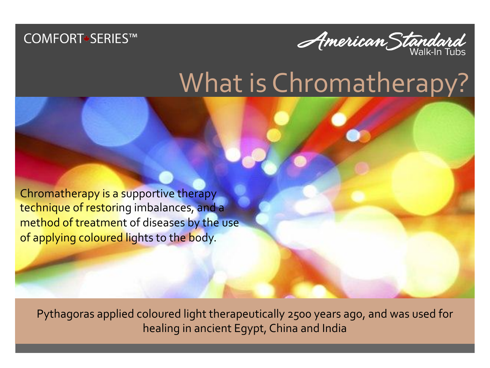



## What is Chromatherapy?

Chromatherapy is a supportive therapy technique of restoring imbalances, and a method of treatment of diseases by the use of applying coloured lights to the body.

Pythagoras applied coloured light therapeutically 2500 years ago, and was used for healing in ancient Egypt, China and India